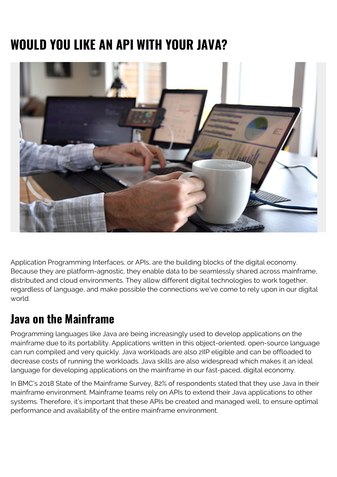# **WOULD YOU LIKE AN API WITH YOUR JAVA?**



Application Programming Interfaces, or APIs, are the building blocks of the digital economy. Because they are platform-agnostic, they enable data to be seamlessly shared across mainframe, distributed and cloud environments. They allow different digital technologies to work together, regardless of language, and make possible the connections we've come to rely upon in our digital world.

#### **Java on the Mainframe**

Programming languages like Java are being increasingly used to develop applications on the mainframe due to its portability. Applications written in this object-oriented, open-source language can run compiled and very quickly. Java workloads are also zIIP eligible and can be offloaded to decrease costs of running the workloads. Java skills are also widespread which makes it an ideal language for developing applications on the mainframe in our fast-paced, digital economy.

In BMC's 2018 State of the Mainframe Survey, 82% of respondents stated that they use Java in their mainframe environment. Mainframe teams rely on APIs to extend their Java applications to other systems. Therefore, it's important that these APIs be created and managed well, to ensure optimal performance and availability of the entire mainframe environment.